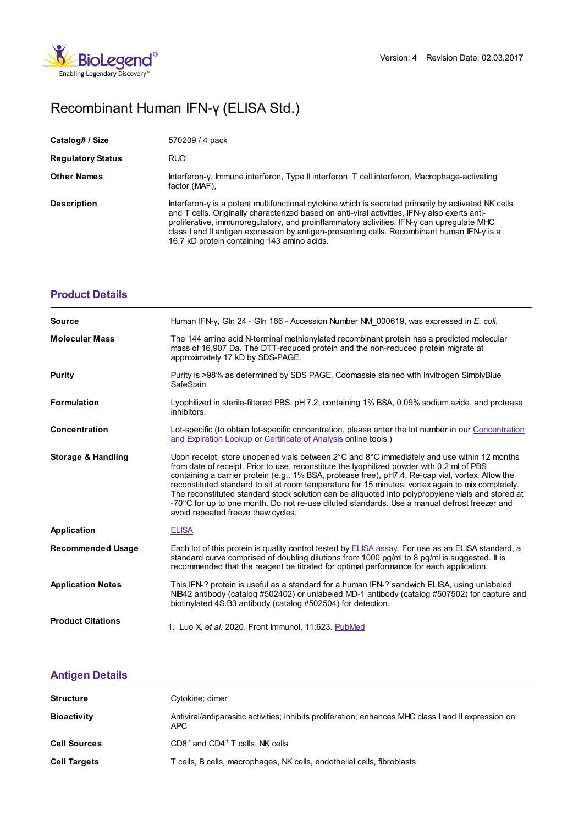

## Recombinant Human IFN-γ (ELISA Std.)

| Catalog# / Size          | 570209 / 4 pack                                                                                                                                                                                                                                                                                                                                                                                                                                   |
|--------------------------|---------------------------------------------------------------------------------------------------------------------------------------------------------------------------------------------------------------------------------------------------------------------------------------------------------------------------------------------------------------------------------------------------------------------------------------------------|
| <b>Regulatory Status</b> | <b>RUO</b>                                                                                                                                                                                                                                                                                                                                                                                                                                        |
| <b>Other Names</b>       | Interferon-y, Immune interferon, Type II interferon, T cell interferon, Macrophage-activating<br>factor (MAF),                                                                                                                                                                                                                                                                                                                                    |
| <b>Description</b>       | Interferon-y is a potent multifunctional cytokine which is secreted primarily by activated NK cells<br>and T cells. Originally characterized based on anti-viral activities, IFN-y also exerts anti-<br>proliferative, immunoregulatory, and proinflammatory activities. IFN-y can upregulate MHC<br>class I and II antigen expression by antigen-presenting cells. Recombinant human $IFN-y$ is a<br>16.7 kD protein containing 143 amino acids. |

| <b>Product Details</b>   |                                                                                                                                                                                                                                                                                                                                                                                                                                                                                                                                                                                                                                                |
|--------------------------|------------------------------------------------------------------------------------------------------------------------------------------------------------------------------------------------------------------------------------------------------------------------------------------------------------------------------------------------------------------------------------------------------------------------------------------------------------------------------------------------------------------------------------------------------------------------------------------------------------------------------------------------|
| <b>Source</b>            | Human IFN-y, Gln 24 - Gln 166 - Accession Number NM 000619, was expressed in E. coli.                                                                                                                                                                                                                                                                                                                                                                                                                                                                                                                                                          |
| <b>Molecular Mass</b>    | The 144 amino acid N-terminal methionylated recombinant protein has a predicted molecular<br>mass of 16,907 Da. The DTT-reduced protein and the non-reduced protein migrate at<br>approximately 17 kD by SDS-PAGE.                                                                                                                                                                                                                                                                                                                                                                                                                             |
| Purity                   | Purity is >98% as determined by SDS PAGE, Coomassie stained with Invitrogen SimplyBlue<br>SafeStain.                                                                                                                                                                                                                                                                                                                                                                                                                                                                                                                                           |
| <b>Formulation</b>       | Lyophilized in sterile-filtered PBS, pH 7.2, containing 1% BSA, 0.09% sodium azide, and protease<br>inhibitors.                                                                                                                                                                                                                                                                                                                                                                                                                                                                                                                                |
| <b>Concentration</b>     | Lot-specific (to obtain lot-specific concentration, please enter the lot number in our Concentration<br>and Expiration Lookup or Certificate of Analysis online tools.)                                                                                                                                                                                                                                                                                                                                                                                                                                                                        |
| Storage & Handling       | Upon receipt, store unopened vials between 2°C and 8°C immediately and use within 12 months<br>from date of receipt. Prior to use, reconstitute the lyophilized powder with 0.2 ml of PBS<br>containing a carrier protein (e.g., 1% BSA, protease free), pH7.4. Re-cap vial, vortex. Allow the<br>reconstituted standard to sit at room temperature for 15 minutes, vortex again to mix completely.<br>The reconstituted standard stock solution can be aliquoted into polypropylene vials and stored at<br>-70°C for up to one month. Do not re-use diluted standards. Use a manual defrost freezer and<br>avoid repeated freeze thaw cycles. |
| <b>Application</b>       | <b>ELISA</b>                                                                                                                                                                                                                                                                                                                                                                                                                                                                                                                                                                                                                                   |
| <b>Recommended Usage</b> | Each lot of this protein is quality control tested by ELISA assay. For use as an ELISA standard, a<br>standard curve comprised of doubling dilutions from 1000 pg/ml to 8 pg/ml is suggested. It is<br>recommended that the reagent be titrated for optimal performance for each application.                                                                                                                                                                                                                                                                                                                                                  |
| <b>Application Notes</b> | This IFN-? protein is useful as a standard for a human IFN-? sandwich ELISA, using unlabeled<br>NIB42 antibody (catalog #502402) or unlabeled MD-1 antibody (catalog #507502) for capture and<br>biotinylated 4S.B3 antibody (catalog #502504) for detection.                                                                                                                                                                                                                                                                                                                                                                                  |
| <b>Product Citations</b> | 1. Luo X, et al. 2020. Front Immunol. 11:623. PubMed                                                                                                                                                                                                                                                                                                                                                                                                                                                                                                                                                                                           |

## **[Antigen](https://www.biolegend.com/fr-ch/products/recombinant-human-ifn-gamma-elisa-std-4723?pdf=true&displayInline=true&leftRightMargin=15&topBottomMargin=15&filename=Recombinant Human IFN-%EF%BF%BD%EF%BF%BD (ELISA Std.).pdf#antigenDetails) Details**

| <b>Structure</b>    | Cytokine; dimer                                                                                              |
|---------------------|--------------------------------------------------------------------------------------------------------------|
| <b>Bioactivity</b>  | Antiviral/antiparasitic activities; inhibits proliferation; enhances MHC class I and II expression on<br>APC |
| <b>Cell Sources</b> | CD8 <sup>+</sup> and CD4 <sup>+</sup> T cells, NK cells                                                      |
| <b>Cell Targets</b> | T cells, B cells, macrophages, NK cells, endothelial cells, fibroblasts                                      |